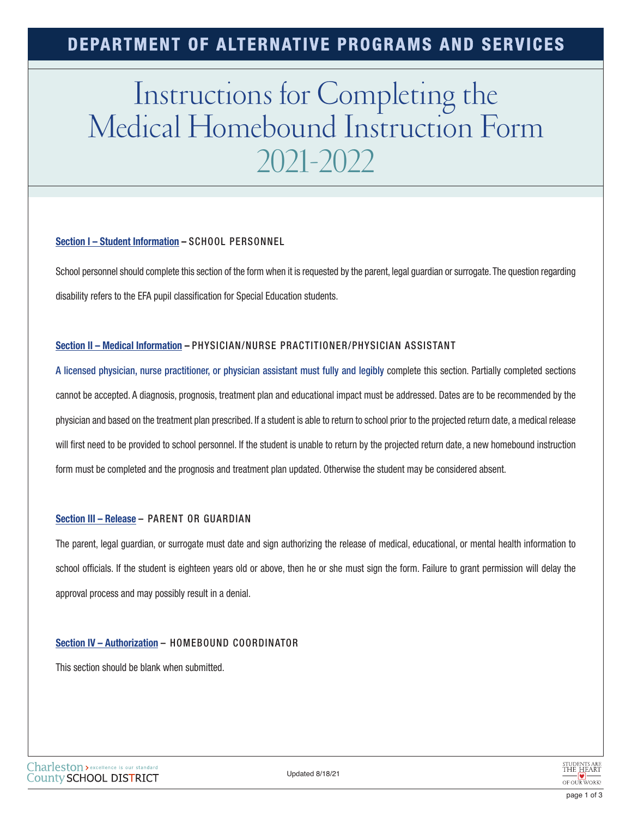### **DEPARTMENT OF ALTERNATIVE PROGRAMS AND SERVICES**

# Instructions for Completing the Medical Homebound Instruction Form 2021-2022

#### **Section I – Student Information –** SCHOOL PERSONNEL

School personnel should complete this section of the form when it is requested by the parent, legal guardian or surrogate. The question regarding disability refers to the EFA pupil classification for Special Education students.

#### **Section II – Medical Information –** PHYSICIAN/NURSE PRACTITIONER/PHYSICIAN ASSISTANT

A licensed physician, nurse practitioner, or physician assistant must fully and legibly complete this section. Partially completed sections cannot be accepted. A diagnosis, prognosis, treatment plan and educational impact must be addressed. Dates are to be recommended by the physician and based on the treatment plan prescribed. If a student is able to return to school prior to the projected return date, a medical release will first need to be provided to school personnel. If the student is unable to return by the projected return date, a new homebound instruction form must be completed and the prognosis and treatment plan updated. Otherwise the student may be considered absent.

#### **Section III – Release** – PARENT OR GUARDIAN

The parent, legal guardian, or surrogate must date and sign authorizing the release of medical, educational, or mental health information to school officials. If the student is eighteen years old or above, then he or she must sign the form. Failure to grant permission will delay the approval process and may possibly result in a denial.

#### **Section IV – Authorization** – HOMEBOUND COORDINATOR

This section should be blank when submitted.

Updated 8/18/21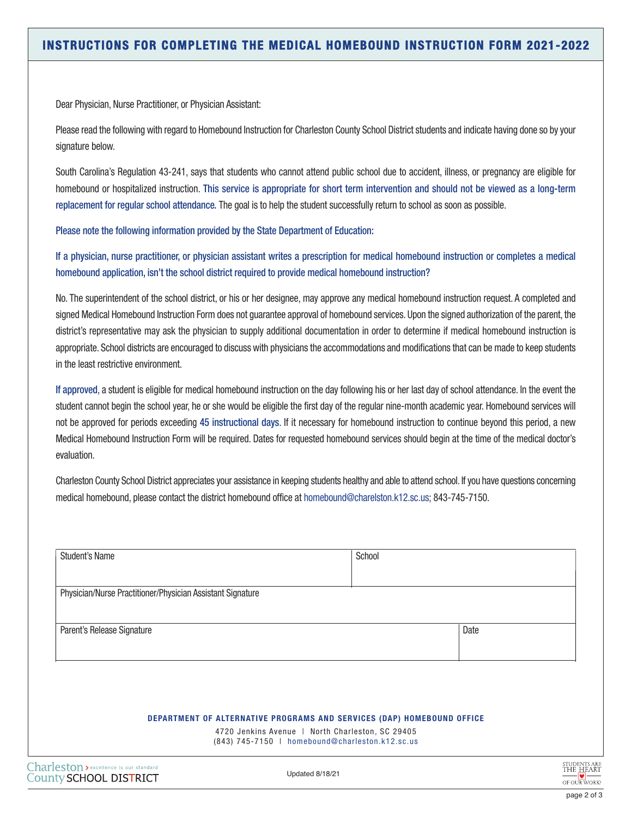Dear Physician, Nurse Practitioner, or Physician Assistant:

Please read the following with regard to Homebound Instruction for Charleston County School District students and indicate having done so by your signature below.

South Carolina's Regulation 43-241, says that students who cannot attend public school due to accident, illness, or pregnancy are eligible for homebound or hospitalized instruction. This service is appropriate for short term intervention and should not be viewed as a long-term replacement for regular school attendance. The goal is to help the student successfully return to school as soon as possible.

Please note the following information provided by the State Department of Education:

If a physician, nurse practitioner, or physician assistant writes a prescription for medical homebound instruction or completes a medical homebound application, isn't the school district required to provide medical homebound instruction?

No. The superintendent of the school district, or his or her designee, may approve any medical homebound instruction request. A completed and signed Medical Homebound Instruction Form does not guarantee approval of homebound services. Upon the signed authorization of the parent, the district's representative may ask the physician to supply additional documentation in order to determine if medical homebound instruction is appropriate. School districts are encouraged to discuss with physicians the accommodations and modifications that can be made to keep students in the least restrictive environment.

If approved, a student is eligible for medical homebound instruction on the day following his or her last day of school attendance. In the event the student cannot begin the school year, he or she would be eligible the first day of the regular nine-month academic year. Homebound services will not be approved for periods exceeding 45 instructional days. If it necessary for homebound instruction to continue beyond this period, a new Medical Homebound Instruction Form will be required. Dates for requested homebound services should begin at the time of the medical doctor's evaluation.

Charleston County School District appreciates your assistance in keeping students healthy and able to attend school. If you have questions concerning medical homebound, please contact the district homebound office at homebound@charelston.k12.sc.us; 843-745-7150.

| <b>Student's Name</b>                                      | School                                                                                              |      |
|------------------------------------------------------------|-----------------------------------------------------------------------------------------------------|------|
| Physician/Nurse Practitioner/Physician Assistant Signature |                                                                                                     |      |
| Parent's Release Signature                                 |                                                                                                     | Date |
|                                                            |                                                                                                     |      |
|                                                            |                                                                                                     |      |
|                                                            | <b>DEPARTMENT OF ALTERNATIVE PROGRAMS AND SERVICES (DAP) HOMEBOUND OFFICE</b>                       |      |
|                                                            |                                                                                                     |      |
|                                                            | 4720 Jenkins Avenue   North Charleston, SC 29405<br>(843) 745-7150   homebound@charleston.k12.sc.us |      |